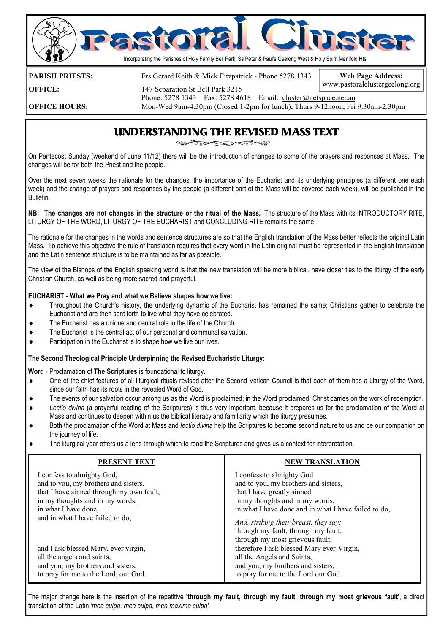

**PARISH PRIESTS:** Frs Gerard Keith & Mick Fitzpatrick - Phone 5278 1343

**Web Page Address:**  www.pastoralclustergeelong.org

**OFFICE:** 147 Separation St Bell Park 3215

Phone: 5278 1343 Fax: 5278 4618 Email: cluster@netspace.net.au<br>
Mon-Wed 9am-4.30pm (Closed 1-2pm for lunch). Thurs 9-12noon. Fri **OFFICE HOURS:** Mon-Wed 9am-4.30pm (Closed 1-2pm for lunch), Thurs 9-12noon, Fri 9.30am-2.30pm

## UNDERSTANDING THE REVISED MASS TEXT

On Pentecost Sunday (weekend of June 11/12) there will be the introduction of changes to some of the prayers and responses at Mass. The changes will be for both the Priest and the people.

Over the next seven weeks the rationale for the changes, the importance of the Eucharist and its underlying principles (a different one each week) and the change of prayers and responses by the people (a different part of the Mass will be covered each week), will be published in the Bulletin.

**NB: The changes are not changes in the structure or the ritual of the Mass.** The structure of the Mass with its INTRODUCTORY RITE, LITURGY OF THE WORD, LITURGY OF THE EUCHARIST and CONCLUDING RITE remains the same.

The rationale for the changes in the words and sentence structures are so that the English translation of the Mass better reflects the original Latin Mass. To achieve this objective the rule of translation requires that every word in the Latin original must be represented in the English translation and the Latin sentence structure is to be maintained as far as possible.

The view of the Bishops of the English speaking world is that the new translation will be more biblical, have closer ties to the liturgy of the early Christian Church, as well as being more sacred and prayerful.

### **EUCHARIST - What we Pray and what we Believe shapes how we live:**

- ♦ Throughout the Church's history, the underlying dynamic of the Eucharist has remained the same: Christians gather to celebrate the Eucharist and are then sent forth to live what they have celebrated.
- The Eucharist has a unique and central role in the life of the Church.
- ♦ The Eucharist is the central act of our personal and communal salvation.
- ♦ Participation in the Eucharist is to shape how we live our lives.

### **The Second Theological Principle Underpinning the Revised Eucharistic Liturgy:**

#### **Word** - Proclamation of **The Scriptures** is foundational to liturgy.

- ♦ One of the chief features of all liturgical rituals revised after the Second Vatican Council is that each of them has a Liturgy of the Word, since our faith has its roots in the revealed Word of God.
- The events of our salvation occur among us as the Word is proclaimed; in the Word proclaimed, Christ carries on the work of redemption.
- Lectio divina (a prayerful reading of the Scriptures) is thus very important, because it prepares us for the proclamation of the Word at Mass and continues to deepen within us the biblical literacy and familiarity which the liturgy presumes.
- Both the proclamation of the Word at Mass and *lectio divina* help the Scriptures to become second nature to us and be our companion on the journey of life.
- ♦ The liturgical year offers us a lens through which to read the Scriptures and gives us a context for interpretation.

| <b>PRESENT TEXT</b>                      | <b>NEW TRANSLATION</b>                                                                                          |
|------------------------------------------|-----------------------------------------------------------------------------------------------------------------|
| I confess to almighty God,               | I confess to almighty God                                                                                       |
| and to you, my brothers and sisters,     | and to you, my brothers and sisters,                                                                            |
| that I have sinned through my own fault, | that I have greatly sinned                                                                                      |
| in my thoughts and in my words,          | in my thoughts and in my words,                                                                                 |
| in what I have done,                     | in what I have done and in what I have failed to do,                                                            |
| and in what I have failed to do;         | And, striking their breast, they say:<br>through my fault, through my fault,<br>through my most grievous fault; |
| and I ask blessed Mary, ever virgin,     | therefore I ask blessed Mary ever-Virgin,                                                                       |
| all the angels and saints,               | all the Angels and Saints,                                                                                      |
| and you, my brothers and sisters,        | and you, my brothers and sisters,                                                                               |
| to pray for me to the Lord, our God.     | to pray for me to the Lord our God.                                                                             |

The major change here is the insertion of the repetitive **'through my fault, through my fault, through my most grievous fault'**, a direct translation of the Latin *'mea culpa, mea culpa, mea maxima culpa'.*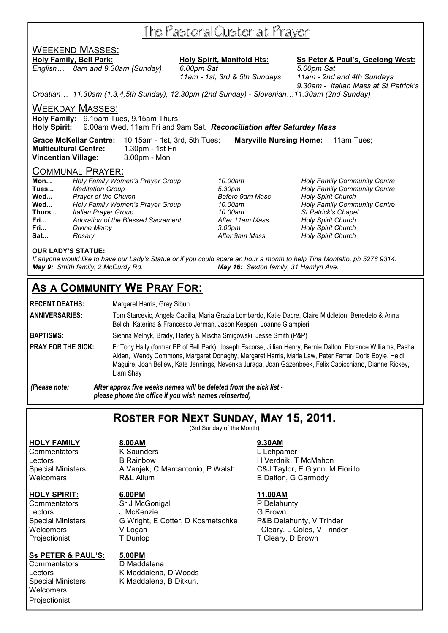# The Pastoral Cluster at Prayer

## WEEKEND MASSES:

*English… 8am and 9.30am (Sunday) 6.00pm Sat 5.00pm Sat* 

**Holy Family, Bell Park: Holy Spirit, Manifold Hts: Ss Peter & Paul's, Geelong West:**

 *11am - 1st, 3rd & 5th Sundays 11am - 2nd and 4th Sundays 9.30am - Italian Mass at St Patrick's* 

*Croatian… 11.30am (1,3,4,5th Sunday), 12.30pm (2nd Sunday) - Slovenian…11.30am (2nd Sunday)* 

WEEKDAY MASSES:

**Holy Family:** 9.15am Tues, 9.15am Thurs

**Holy Spirit:** 9.00am Wed, 11am Fri and 9am Sat. *Reconciliation after Saturday Mass* 

**Grace McKellar Centre:** 10.15am - 1st, 3rd, 5th Tues; **Maryville Nursing Home:** 11am Tues; **Multicultural Centre:** 1.30pm - 1st Fri **Vincentian Village:** 3.00pm - Mon

### COMMUNAL PRAYER:

|       | <u> U U IVIIVIU I V ILI II IV II LI II</u> |                 |                                     |
|-------|--------------------------------------------|-----------------|-------------------------------------|
| Mon   | Holy Family Women's Prayer Group           | 10.00am         | <b>Holy Family Community Centre</b> |
| Tues  | <b>Meditation Group</b>                    | 5.30pm          | <b>Holy Family Community Centre</b> |
| Wed   | <b>Prayer of the Church</b>                | Before 9am Mass | <b>Holy Spirit Church</b>           |
| Wed   | Holy Family Women's Prayer Group           | 10.00am         | <b>Holy Family Community Centre</b> |
| Thurs | Italian Prayer Group                       | 10.00am         | St Patrick's Chapel                 |
| Fri   | Adoration of the Blessed Sacrament         | After 11am Mass | <b>Holy Spirit Church</b>           |
| Fri   | Divine Mercy                               | 3.00pm          | <b>Holy Spirit Church</b>           |
| Sat   | Rosarv                                     | After 9am Mass  | <b>Holy Spirit Church</b>           |
|       |                                            |                 |                                     |

#### **OUR LADY'S STATUE:**

*If anyone would like to have our Lady's Statue or if you could spare an hour a month to help Tina Montalto, ph 5278 9314. May 9: Smith family, 2 McCurdy Rd. May 16: Sexton family, 31 Hamlyn Ave.* 

# **AS A COMMUNITY WE PRAY FOR:**

**RECENT DEATHS:** Margaret Harris, Gray Sibun

**ANNIVERSARIES:** Tom Starcevic, Angela Cadilla, Maria Grazia Lombardo, Katie Dacre, Claire Middleton, Benedeto & Anna Belich, Katerina & Francesco Jerman, Jason Keepen, Joanne Giampieri

**BAPTISMS:** Sienna Melnyk, Brady, Harley & Mischa Smigowski, Jesse Smith (P&P)

PRAY FOR THE SICK: Fr Tony Hally (former PP of Bell Park), Joseph Escorse, Jillian Henry, Bernie Dalton, Florence Williams, Pasha Alden, Wendy Commons, Margaret Donaghy, Margaret Harris, Maria Law, Peter Farrar, Doris Boyle, Heidi Maguire, Joan Bellew, Kate Jennings, Nevenka Juraga, Joan Gazenbeek, Felix Capicchiano, Dianne Rickey, Liam Shay

*(Please note: After approx five weeks names will be deleted from the sick list please phone the office if you wish names reinserted)* 

# **ROSTER FOR NEXT SUNDAY, MAY 15, 2011.**

(3rd Sunday of the Month**)** 

### **HOLY FAMILY 8.00AM 9.30AM**

### **HOLY SPIRIT: 6.00PM 11.00AM**

### **Ss PETER & PAUL'S: 5.00PM**

Commentators D Maddalena **Welcomers** Projectionist

Commentators K Saunders L Lehpamer Lectors **B Rainbow** B H Verdnik, T McMahon Special Ministers A Vanjek, C Marcantonio, P Walsh C&J Taylor, E Glynn, M Fiorillo Welcomers **R&L Allum** R&L ALLUM E Dalton, G Carmody

Commentators Sr J McGonigal P Delahunty Lectors J McKenzie G Brown Special Ministers G Wright, E Cotter, D Kosmetschke P&B Delahunty, V Trinder Welcomers V Logan V Logan V Logan I Cleary, L Coles, V Trinder<br>
Projectionist T Dunlop T Cleary, D Brown

Lectors K Maddalena, D Woods K Maddalena, B Ditkun,

T Cleary, D Brown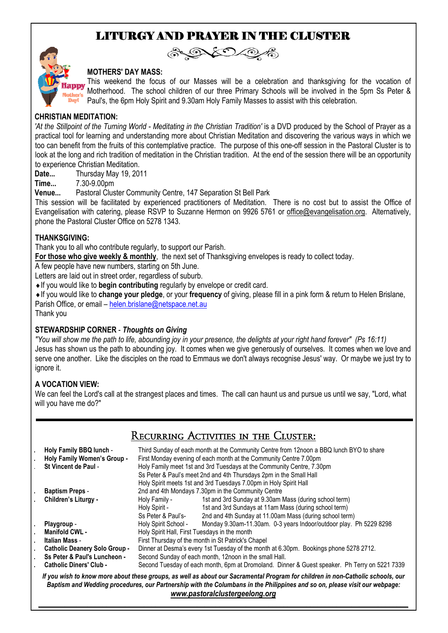# LITURGY AND PRAYER IN THE CLUSTER



# A DIDA

### **MOTHERS' DAY MASS:**

This weekend the focus of our Masses will be a celebration and thanksgiving for the vocation of Motherhood. The school children of our three Primary Schools will be involved in the 5pm Ss Peter & Paul's, the 6pm Holy Spirit and 9.30am Holy Family Masses to assist with this celebration.

## **CHRISTIAN MEDITATION:**

'At the Stillpoint of the Turning World - Meditating in the Christian Tradition' is a DVD produced by the School of Prayer as a practical tool for learning and understanding more about Christian Meditation and discovering the various ways in which we too can benefit from the fruits of this contemplative practice. The purpose of this one-off session in the Pastoral Cluster is to look at the long and rich tradition of meditation in the Christian tradition. At the end of the session there will be an opportunity to experience Christian Meditation.

**Date...** Thursday May 19, 2011

**Time...** 7.30-9.00pm

**Venue...** Pastoral Cluster Community Centre, 147 Separation St Bell Park

This session will be facilitated by experienced practitioners of Meditation. There is no cost but to assist the Office of Evangelisation with catering, please RSVP to Suzanne Hermon on 9926 5761 or office@evangelisation.org. Alternatively, phone the Pastoral Cluster Office on 5278 1343.

## **THANKSGIVING:**

Thank you to all who contribute regularly, to support our Parish.

**For those who give weekly & monthly**, the next set of Thanksgiving envelopes is ready to collect today.

A few people have new numbers, starting on 5th June.

Letters are laid out in street order, regardless of suburb.

♦If you would like to **begin contributing** regularly by envelope or credit card.

♦If you would like to **change your pledge**, or your **frequency** of giving, please fill in a pink form & return to Helen Brislane, Parish Office, or email – helen.brislane@netspace.net.au

Thank you

## **STEWARDSHIP CORNER** - *Thoughts on Giving*

*"You will show me the path to life, abounding joy in your presence, the delights at your right hand forever" (Ps 16:11)*  Jesus has shown us the path to abounding joy. It comes when we give generously of ourselves. It comes when we love and serve one another. Like the disciples on the road to Emmaus we don't always recognise Jesus' way. Or maybe we just try to ignore it.

## **A VOCATION VIEW:**

We can feel the Lord's call at the strangest places and times. The call can haunt us and pursue us until we say, "Lord, what will you have me do?"

# Recurring Activities in the Cluster:

|                                                                                                                                                                                                                                                                                                 | Holy Family BBQ lunch -<br>Holy Family Women's Group -<br>St Vincent de Paul - | Third Sunday of each month at the Community Centre from 12noon a BBQ lunch BYO to share<br>First Monday evening of each month at the Community Centre 7.00pm<br>Holy Family meet 1st and 3rd Tuesdays at the Community Centre, 7.30pm<br>Ss Peter & Paul's meet 2nd and 4th Thursdays 2pm in the Small Hall<br>Holy Spirit meets 1st and 3rd Tuesdays 7.00pm in Holy Spirit Hall |                                                                    |  |
|-------------------------------------------------------------------------------------------------------------------------------------------------------------------------------------------------------------------------------------------------------------------------------------------------|--------------------------------------------------------------------------------|----------------------------------------------------------------------------------------------------------------------------------------------------------------------------------------------------------------------------------------------------------------------------------------------------------------------------------------------------------------------------------|--------------------------------------------------------------------|--|
|                                                                                                                                                                                                                                                                                                 | <b>Baptism Preps -</b>                                                         | 2nd and 4th Mondays 7.30pm in the Community Centre                                                                                                                                                                                                                                                                                                                               |                                                                    |  |
|                                                                                                                                                                                                                                                                                                 | Children's Liturgy -                                                           | Holy Family -                                                                                                                                                                                                                                                                                                                                                                    | 1st and 3rd Sunday at 9.30am Mass (during school term)             |  |
|                                                                                                                                                                                                                                                                                                 |                                                                                | Holy Spirit -                                                                                                                                                                                                                                                                                                                                                                    | 1st and 3rd Sundays at 11am Mass (during school term)              |  |
|                                                                                                                                                                                                                                                                                                 |                                                                                | Ss Peter & Paul's-                                                                                                                                                                                                                                                                                                                                                               | 2nd and 4th Sunday at 11.00am Mass (during school term)            |  |
|                                                                                                                                                                                                                                                                                                 | Playgroup -                                                                    | Holy Spirit School -                                                                                                                                                                                                                                                                                                                                                             | Monday 9.30am-11.30am. 0-3 years Indoor/outdoor play. Ph 5229 8298 |  |
|                                                                                                                                                                                                                                                                                                 | Manifold CWL -                                                                 | Holy Spirit Hall, First Tuesdays in the month                                                                                                                                                                                                                                                                                                                                    |                                                                    |  |
|                                                                                                                                                                                                                                                                                                 | Italian Mass -                                                                 | First Thursday of the month in St Patrick's Chapel                                                                                                                                                                                                                                                                                                                               |                                                                    |  |
|                                                                                                                                                                                                                                                                                                 | <b>Catholic Deanery Solo Group -</b>                                           | Dinner at Desma's every 1st Tuesday of the month at 6.30pm. Bookings phone 5278 2712.                                                                                                                                                                                                                                                                                            |                                                                    |  |
|                                                                                                                                                                                                                                                                                                 | Ss Peter & Paul's Luncheon -                                                   | Second Sunday of each month, 12noon in the small Hall.                                                                                                                                                                                                                                                                                                                           |                                                                    |  |
|                                                                                                                                                                                                                                                                                                 | <b>Catholic Diners' Club -</b>                                                 | Second Tuesday of each month, 6pm at Dromoland. Dinner & Guest speaker. Ph Terry on 5221 7339                                                                                                                                                                                                                                                                                    |                                                                    |  |
| If you wish to know more about these groups, as well as about our Sacramental Program for children in non-Catholic schools, our<br>Baptism and Wedding procedures, our Partnership with the Columbans in the Philippines and so on, please visit our webpage:<br>www.pastoralclustergeelong.org |                                                                                |                                                                                                                                                                                                                                                                                                                                                                                  |                                                                    |  |

*\_\_\_\_\_\_\_\_\_\_\_\_\_\_\_\_\_\_\_\_\_\_\_\_\_\_\_\_\_\_\_\_\_\_\_\_\_\_\_\_\_\_\_\_\_\_\_\_\_\_\_\_\_\_\_\_\_\_\_\_\_\_\_\_\_\_\_\_\_\_\_\_\_\_\_\_\_\_\_\_\_\_\_\_\_\_\_\_\_\_\_\_\_\_\_\_\_\_*